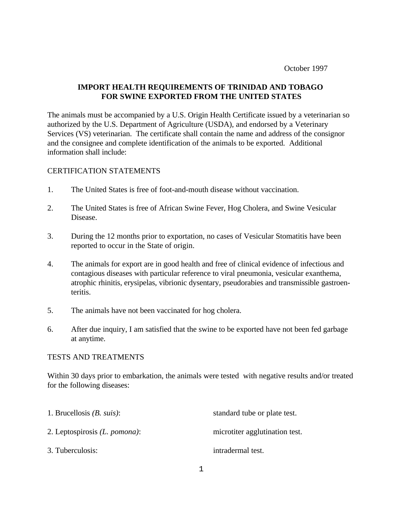October 1997

## **IMPORT HEALTH REQUIREMENTS OF TRINIDAD AND TOBAGO FOR SWINE EXPORTED FROM THE UNITED STATES**

The animals must be accompanied by a U.S. Origin Health Certificate issued by a veterinarian so authorized by the U.S. Department of Agriculture (USDA), and endorsed by a Veterinary Services (VS) veterinarian. The certificate shall contain the name and address of the consignor and the consignee and complete identification of the animals to be exported. Additional information shall include:

## CERTIFICATION STATEMENTS

- 1. The United States is free of foot-and-mouth disease without vaccination.
- 2. The United States is free of African Swine Fever, Hog Cholera, and Swine Vesicular Disease.
- 3. During the 12 months prior to exportation, no cases of Vesicular Stomatitis have been reported to occur in the State of origin.
- 4. The animals for export are in good health and free of clinical evidence of infectious and contagious diseases with particular reference to viral pneumonia, vesicular exanthema, atrophic rhinitis, erysipelas, vibrionic dysentary, pseudorabies and transmissible gastroenteritis.
- 5. The animals have not been vaccinated for hog cholera.
- 6. After due inquiry, I am satisfied that the swine to be exported have not been fed garbage at anytime.

## TESTS AND TREATMENTS

Within 30 days prior to embarkation, the animals were tested with negative results and/or treated for the following diseases:

| 1. Brucellosis $(B. \, suis)$ : | standard tube or plate test.   |
|---------------------------------|--------------------------------|
| 2. Leptospirosis (L. pomona):   | microtiter agglutination test. |
| 3. Tuberculosis:                | intradermal test.              |